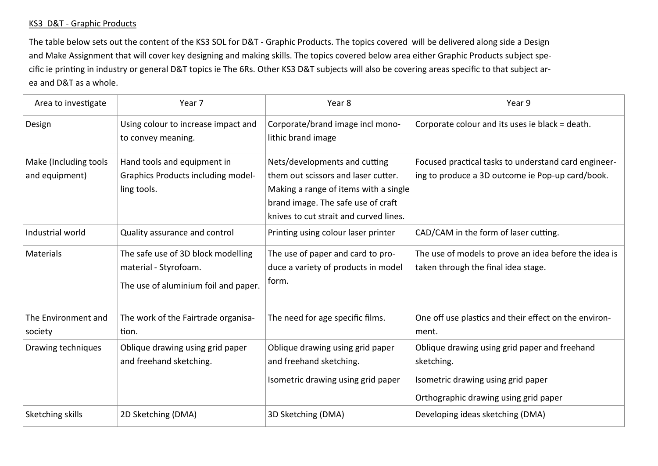## KS3 D&T - Graphic Products

The table below sets out the content of the KS3 SOL for D&T - Graphic Products. The topics covered will be delivered along side a Design and Make Assignment that will cover key designing and making skills. The topics covered below area either Graphic Products subject specific ie printing in industry or general D&T topics ie The 6Rs. Other KS3 D&T subjects will also be covering areas specific to that subject area and D&T as a whole.

| Area to investigate                     | Year 7                                                                                              | Year 8                                                                                                                                                                                        | Year 9                                                                                                                                     |
|-----------------------------------------|-----------------------------------------------------------------------------------------------------|-----------------------------------------------------------------------------------------------------------------------------------------------------------------------------------------------|--------------------------------------------------------------------------------------------------------------------------------------------|
| Design                                  | Using colour to increase impact and<br>to convey meaning.                                           | Corporate/brand image incl mono-<br>lithic brand image                                                                                                                                        | Corporate colour and its uses ie black = death.                                                                                            |
| Make (Including tools<br>and equipment) | Hand tools and equipment in<br><b>Graphics Products including model-</b><br>ling tools.             | Nets/developments and cutting<br>them out scissors and laser cutter.<br>Making a range of items with a single<br>brand image. The safe use of craft<br>knives to cut strait and curved lines. | Focused practical tasks to understand card engineer-<br>ing to produce a 3D outcome ie Pop-up card/book.                                   |
| Industrial world                        | Quality assurance and control                                                                       | Printing using colour laser printer                                                                                                                                                           | CAD/CAM in the form of laser cutting.                                                                                                      |
| <b>Materials</b>                        | The safe use of 3D block modelling<br>material - Styrofoam.<br>The use of aluminium foil and paper. | The use of paper and card to pro-<br>duce a variety of products in model<br>form.                                                                                                             | The use of models to prove an idea before the idea is<br>taken through the final idea stage.                                               |
| The Environment and<br>society          | The work of the Fairtrade organisa-<br>tion.                                                        | The need for age specific films.                                                                                                                                                              | One off use plastics and their effect on the environ-<br>ment.                                                                             |
| Drawing techniques                      | Oblique drawing using grid paper<br>and freehand sketching.                                         | Oblique drawing using grid paper<br>and freehand sketching.<br>Isometric drawing using grid paper                                                                                             | Oblique drawing using grid paper and freehand<br>sketching.<br>Isometric drawing using grid paper<br>Orthographic drawing using grid paper |
| Sketching skills                        | 2D Sketching (DMA)                                                                                  | 3D Sketching (DMA)                                                                                                                                                                            | Developing ideas sketching (DMA)                                                                                                           |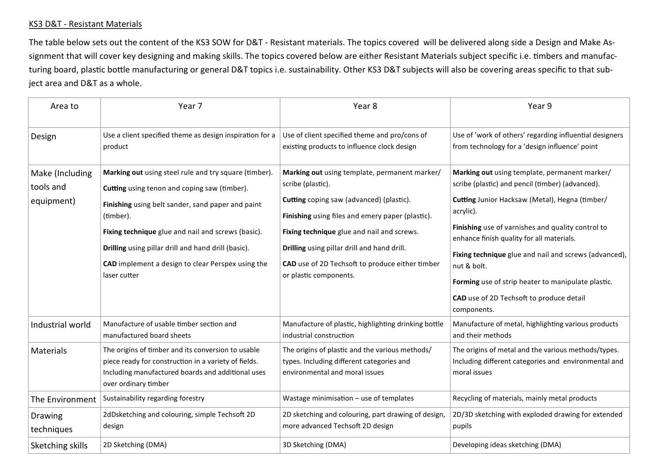## KS3 D&T - Resistant Materials

The table below sets out the content of the KS3 SOW for D&T - Resistant materials. The topics covered will be delivered along side a Design and Make Assignment that will cover key designing and making skills. The topics covered below are either Resistant Materials subject specific i.e. timbers and manufacturing board, plastic bottle manufacturing or general D&T topics i.e. sustainability. Other KS3 D&T subjects will also be covering areas specific to that subject area and D&T as a whole.

| Area to                                    | Year 7                                                                                                                                                                                                                                                                                                                                                    | Year 8                                                                                                                                                                                                                                                                                                                                       | Year 9                                                                                                                                                                                                                                                                                                                                                                                                                                                      |
|--------------------------------------------|-----------------------------------------------------------------------------------------------------------------------------------------------------------------------------------------------------------------------------------------------------------------------------------------------------------------------------------------------------------|----------------------------------------------------------------------------------------------------------------------------------------------------------------------------------------------------------------------------------------------------------------------------------------------------------------------------------------------|-------------------------------------------------------------------------------------------------------------------------------------------------------------------------------------------------------------------------------------------------------------------------------------------------------------------------------------------------------------------------------------------------------------------------------------------------------------|
| Design                                     | Use a client specified theme as design inspiration for a<br>product                                                                                                                                                                                                                                                                                       | Use of client specified theme and pro/cons of<br>existing products to influence clock design                                                                                                                                                                                                                                                 | Use of 'work of others' regarding influential designers<br>from technology for a 'design influence' point                                                                                                                                                                                                                                                                                                                                                   |
| Make (Including<br>tools and<br>equipment) | Marking out using steel rule and try square (timber).<br>Cutting using tenon and coping saw (timber).<br>Finishing using belt sander, sand paper and paint<br>(timber).<br>Fixing technique glue and nail and screws (basic).<br>Drilling using pillar drill and hand drill (basic).<br>CAD implement a design to clear Perspex using the<br>laser cutter | Marking out using template, permanent marker/<br>scribe (plastic).<br>Cutting coping saw (advanced) (plastic).<br>Finishing using files and emery paper (plastic).<br>Fixing technique glue and nail and screws.<br>Drilling using pillar drill and hand drill.<br>CAD use of 2D Techsoft to produce either timber<br>or plastic components. | Marking out using template, permanent marker/<br>scribe (plastic) and pencil (timber) (advanced).<br>Cutting Junior Hacksaw (Metal), Hegna (timber/<br>acrylic).<br>Finishing use of varnishes and quality control to<br>enhance finish quality for all materials.<br>Fixing technique glue and nail and screws (advanced),<br>nut & bolt.<br>Forming use of strip heater to manipulate plastic.<br>CAD use of 2D Techsoft to produce detail<br>components. |
| Industrial world                           | Manufacture of usable timber section and<br>manufactured board sheets                                                                                                                                                                                                                                                                                     | Manufacture of plastic, highlighting drinking bottle<br>industrial construction                                                                                                                                                                                                                                                              | Manufacture of metal, highlighting various products<br>and their methods                                                                                                                                                                                                                                                                                                                                                                                    |
| <b>Materials</b>                           | The origins of timber and its conversion to usable<br>piece ready for construction in a variety of fields.<br>Including manufactured boards and additional uses<br>over ordinary timber                                                                                                                                                                   | The origins of plastic and the various methods/<br>types. Including different categories and<br>environmental and moral issues                                                                                                                                                                                                               | The origins of metal and the various methods/types.<br>Including different categories and environmental and<br>moral issues                                                                                                                                                                                                                                                                                                                                 |
| The Environment                            | Sustainability regarding forestry                                                                                                                                                                                                                                                                                                                         | Wastage minimisation - use of templates                                                                                                                                                                                                                                                                                                      | Recycling of materials, mainly metal products                                                                                                                                                                                                                                                                                                                                                                                                               |
| Drawing<br>techniques                      | 2dDsketching and colouring, simple Techsoft 2D<br>design                                                                                                                                                                                                                                                                                                  | 2D sketching and colouring, part drawing of design,<br>more advanced Techsoft 2D design                                                                                                                                                                                                                                                      | 2D/3D sketching with exploded drawing for extended<br>pupils                                                                                                                                                                                                                                                                                                                                                                                                |
| Sketching skills                           | 2D Sketching (DMA)                                                                                                                                                                                                                                                                                                                                        | 3D Sketching (DMA)                                                                                                                                                                                                                                                                                                                           | Developing ideas sketching (DMA)                                                                                                                                                                                                                                                                                                                                                                                                                            |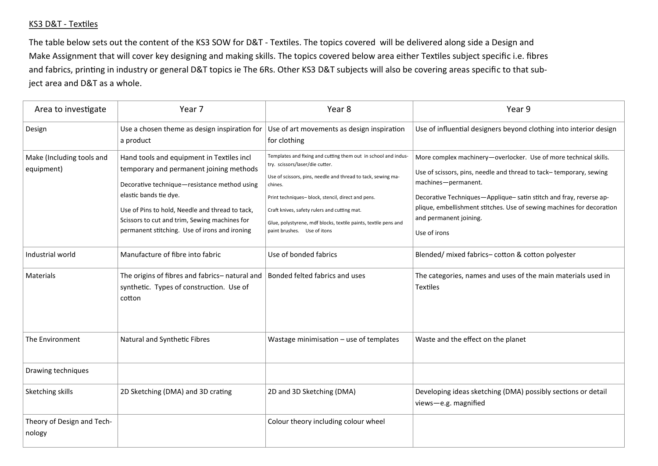## KS3 D&T - Textiles

The table below sets out the content of the KS3 SOW for D&T - Textiles. The topics covered will be delivered along side a Design and Make Assignment that will cover key designing and making skills. The topics covered below area either Textiles subject specific i.e. fibres and fabrics, printing in industry or general D&T topics ie The 6Rs. Other KS3 D&T subjects will also be covering areas specific to that subject area and D&T as a whole.

| Area to investigate                     | Year 7                                                                                                                                                                                                                                                                                                              | Year 8                                                                                                                                                                                                                                                                                                                                                                               | Year 9                                                                                                                                                                                                                                                                                                                                                |
|-----------------------------------------|---------------------------------------------------------------------------------------------------------------------------------------------------------------------------------------------------------------------------------------------------------------------------------------------------------------------|--------------------------------------------------------------------------------------------------------------------------------------------------------------------------------------------------------------------------------------------------------------------------------------------------------------------------------------------------------------------------------------|-------------------------------------------------------------------------------------------------------------------------------------------------------------------------------------------------------------------------------------------------------------------------------------------------------------------------------------------------------|
| Design                                  | Use a chosen theme as design inspiration for<br>a product                                                                                                                                                                                                                                                           | Use of art movements as design inspiration<br>for clothing                                                                                                                                                                                                                                                                                                                           | Use of influential designers beyond clothing into interior design                                                                                                                                                                                                                                                                                     |
| Make (Including tools and<br>equipment) | Hand tools and equipment in Textiles incl<br>temporary and permanent joining methods<br>Decorative technique-resistance method using<br>elastic bands tie dye.<br>Use of Pins to hold, Needle and thread to tack,<br>Scissors to cut and trim, Sewing machines for<br>permanent stitching. Use of irons and ironing | Templates and fixing and cutting them out in school and indus-<br>try. scissors/laser/die cutter.<br>Use of scissors, pins, needle and thread to tack, sewing ma-<br>chines.<br>Print techniques- block, stencil, direct and pens.<br>Craft knives, safety rulers and cutting mat.<br>Glue, polystyrene, mdf blocks, textile paints, textile pens and<br>paint brushes. Use of itons | More complex machinery-overlocker. Use of more technical skills.<br>Use of scissors, pins, needle and thread to tack-temporary, sewing<br>machines-permanent.<br>Decorative Techniques-Applique-satin stitch and fray, reverse ap-<br>plique, embellishment stitches. Use of sewing machines for decoration<br>and permanent joining.<br>Use of irons |
| Industrial world                        | Manufacture of fibre into fabric                                                                                                                                                                                                                                                                                    | Use of bonded fabrics                                                                                                                                                                                                                                                                                                                                                                | Blended/ mixed fabrics- cotton & cotton polyester                                                                                                                                                                                                                                                                                                     |
| Materials                               | The origins of fibres and fabrics- natural and<br>synthetic. Types of construction. Use of<br>cotton                                                                                                                                                                                                                | Bonded felted fabrics and uses                                                                                                                                                                                                                                                                                                                                                       | The categories, names and uses of the main materials used in<br>Textiles                                                                                                                                                                                                                                                                              |
| The Environment                         | Natural and Synthetic Fibres                                                                                                                                                                                                                                                                                        | Wastage minimisation - use of templates                                                                                                                                                                                                                                                                                                                                              | Waste and the effect on the planet                                                                                                                                                                                                                                                                                                                    |
| Drawing techniques                      |                                                                                                                                                                                                                                                                                                                     |                                                                                                                                                                                                                                                                                                                                                                                      |                                                                                                                                                                                                                                                                                                                                                       |
| Sketching skills                        | 2D Sketching (DMA) and 3D crating                                                                                                                                                                                                                                                                                   | 2D and 3D Sketching (DMA)                                                                                                                                                                                                                                                                                                                                                            | Developing ideas sketching (DMA) possibly sections or detail<br>views-e.g. magnified                                                                                                                                                                                                                                                                  |
| Theory of Design and Tech-<br>nology    |                                                                                                                                                                                                                                                                                                                     | Colour theory including colour wheel                                                                                                                                                                                                                                                                                                                                                 |                                                                                                                                                                                                                                                                                                                                                       |